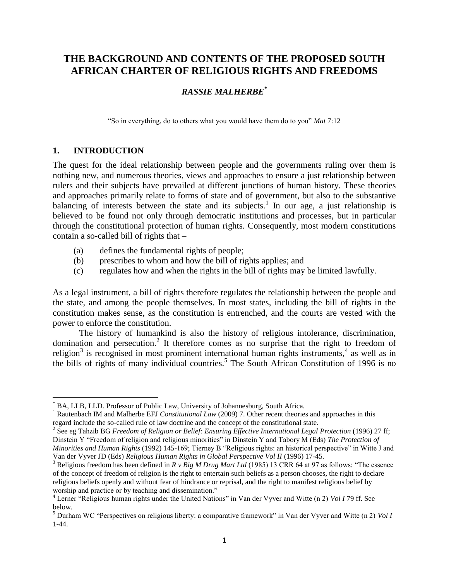# **THE BACKGROUND AND CONTENTS OF THE PROPOSED SOUTH AFRICAN CHARTER OF RELIGIOUS RIGHTS AND FREEDOMS**

### *RASSIE MALHERBE\**

"So in everything, do to others what you would have them do to you" *Mat* 7:12

#### **1. INTRODUCTION**

l

The quest for the ideal relationship between people and the governments ruling over them is nothing new, and numerous theories, views and approaches to ensure a just relationship between rulers and their subjects have prevailed at different junctions of human history. These theories and approaches primarily relate to forms of state and of government, but also to the substantive balancing of interests between the state and its subjects.<sup>1</sup> In our age, a just relationship is believed to be found not only through democratic institutions and processes, but in particular through the constitutional protection of human rights. Consequently, most modern constitutions contain a so-called bill of rights that –

- (a) defines the fundamental rights of people;
- (b) prescribes to whom and how the bill of rights applies; and
- (c) regulates how and when the rights in the bill of rights may be limited lawfully.

As a legal instrument, a bill of rights therefore regulates the relationship between the people and the state, and among the people themselves. In most states, including the bill of rights in the constitution makes sense, as the constitution is entrenched, and the courts are vested with the power to enforce the constitution.

The history of humankind is also the history of religious intolerance, discrimination, domination and persecution.<sup>2</sup> It therefore comes as no surprise that the right to freedom of religion<sup>3</sup> is recognised in most prominent international human rights instruments,<sup>4</sup> as well as in the bills of rights of many individual countries.<sup>5</sup> The South African Constitution of 1996 is no

BA, LLB, LLD. Professor of Public Law, University of Johannesburg, South Africa.

<sup>&</sup>lt;sup>1</sup> Rautenbach IM and Malherbe EFJ *Constitutional Law* (2009) 7. Other recent theories and approaches in this regard include the so-called rule of law doctrine and the concept of the constitutional state.

<sup>&</sup>lt;sup>2</sup> See eg Tahzib BG *Freedom of Religion or Belief: Ensuring Effective International Legal Protection* (1996) 27 ff; Dinstein Y "Freedom of religion and religious minorities" in Dinstein Y and Tabory M (Eds) *The Protection of Minorities and Human Rights* (1992) 145-169; Tierney B "Religious rights: an historical perspective" in Witte J and Van der Vyver JD (Eds) *Religious Human Rights in Global Perspective Vol II* (1996) 17-45.

<sup>&</sup>lt;sup>3</sup> Religious freedom has been defined in *R v Big M Drug Mart Ltd* (1985) 13 CRR 64 at 97 as follows: "The essence of the concept of freedom of religion is the right to entertain such beliefs as a person chooses, the right to declare religious beliefs openly and without fear of hindrance or reprisal, and the right to manifest religious belief by worship and practice or by teaching and dissemination."

<sup>4</sup> Lerner "Religious human rights under the United Nations" in Van der Vyver and Witte (n 2) *Vol I* 79 ff. See below.

<sup>5</sup> Durham WC "Perspectives on religious liberty: a comparative framework" in Van der Vyver and Witte (n 2) *Vol I* 1-44.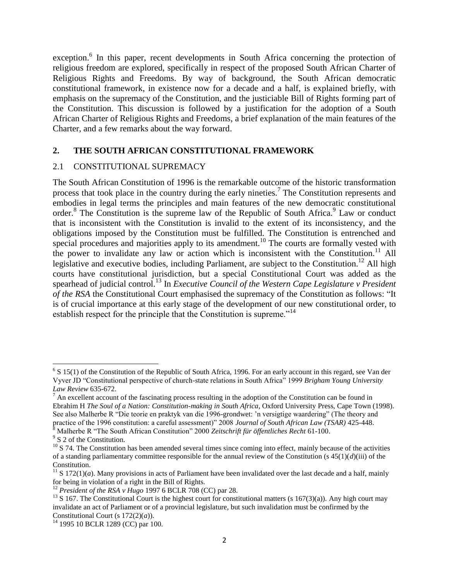exception.<sup>6</sup> In this paper, recent developments in South Africa concerning the protection of religious freedom are explored, specifically in respect of the proposed South African Charter of Religious Rights and Freedoms. By way of background, the South African democratic constitutional framework, in existence now for a decade and a half, is explained briefly, with emphasis on the supremacy of the Constitution, and the justiciable Bill of Rights forming part of the Constitution. This discussion is followed by a justification for the adoption of a South African Charter of Religious Rights and Freedoms, a brief explanation of the main features of the Charter, and a few remarks about the way forward.

#### **2. THE SOUTH AFRICAN CONSTITUTIONAL FRAMEWORK**

#### 2.1 CONSTITUTIONAL SUPREMACY

The South African Constitution of 1996 is the remarkable outcome of the historic transformation process that took place in the country during the early nineties.<sup>7</sup> The Constitution represents and embodies in legal terms the principles and main features of the new democratic constitutional order.<sup>8</sup> The Constitution is the supreme law of the Republic of South Africa.<sup>9</sup> Law or conduct that is inconsistent with the Constitution is invalid to the extent of its inconsistency, and the obligations imposed by the Constitution must be fulfilled. The Constitution is entrenched and special procedures and majorities apply to its amendment.<sup>10</sup> The courts are formally vested with the power to invalidate any law or action which is inconsistent with the Constitution.<sup>11</sup> All legislative and executive bodies, including Parliament, are subject to the Constitution.<sup>12</sup> All high courts have constitutional jurisdiction, but a special Constitutional Court was added as the spearhead of judicial control.<sup>13</sup> In *Executive Council of the Western Cape Legislature v President of the RSA* the Constitutional Court emphasised the supremacy of the Constitution as follows: "It is of crucial importance at this early stage of the development of our new constitutional order, to establish respect for the principle that the Constitution is supreme."<sup>14</sup>

 $6$  S 15(1) of the Constitution of the Republic of South Africa, 1996. For an early account in this regard, see Van der Vyver JD "Constitutional perspective of church-state relations in South Africa" 1999 *Brigham Young University Law Review* 635-672.

 $<sup>7</sup>$  An excellent account of the fascinating process resulting in the adoption of the Constitution can be found in</sup> Ebrahim H *The Soul of a Nation: Constitution-making in South Africa*, Oxford University Press, Cape Town (1998). See also Malherbe R "Die teorie en praktyk van die 1996-grondwet: 'n versigtige waardering" (The theory and practice of the 1996 constitution: a careful assessment)" 2008 *Journal of South African Law (TSAR)* 425-448. <sup>8</sup> Malherbe R "The South African Constitution" 2000 *Zeitschrift für öffentliches Recht* 61-100.

<sup>&</sup>lt;sup>9</sup> S 2 of the Constitution.

 $10$  S 74. The Constitution has been amended several times since coming into effect, mainly because of the activities of a standing parliamentary committee responsible for the annual review of the Constitution (s 45(1)(*d*)(iii) of the Constitution.

 $11$  S 172(1)(*a*). Many provisions in acts of Parliament have been invalidated over the last decade and a half, mainly for being in violation of a right in the Bill of Rights.

<sup>&</sup>lt;sup>12</sup> President of the RSA v Hugo 1997 6 BCLR 708 (CC) par 28.

<sup>&</sup>lt;sup>13</sup> S 167. The Constitutional Court is the highest court for constitutional matters (s  $167(3)(a)$ ). Any high court may invalidate an act of Parliament or of a provincial legislature, but such invalidation must be confirmed by the Constitutional Court (s 172(2)(*a*)).

 $14$  1995 10 BCLR 1289 (CC) par 100.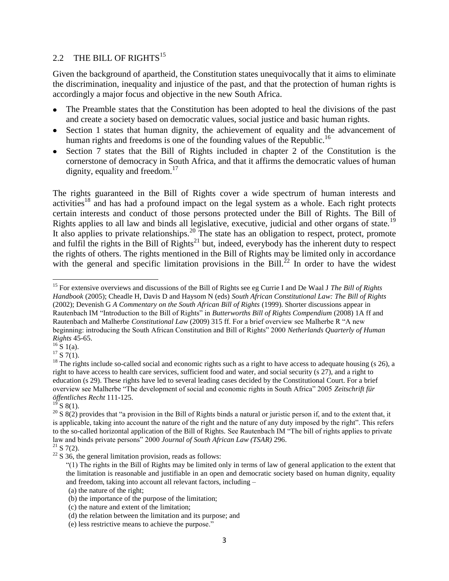## 2.2 THE BILL OF RIGHTS<sup>15</sup>

Given the background of apartheid, the Constitution states unequivocally that it aims to eliminate the discrimination, inequality and injustice of the past, and that the protection of human rights is accordingly a major focus and objective in the new South Africa.

- The Preamble states that the Constitution has been adopted to heal the divisions of the past and create a society based on democratic values, social justice and basic human rights.
- Section 1 states that human dignity, the achievement of equality and the advancement of human rights and freedoms is one of the founding values of the Republic.<sup>16</sup>
- Section 7 states that the Bill of Rights included in chapter 2 of the Constitution is the cornerstone of democracy in South Africa, and that it affirms the democratic values of human dignity, equality and freedom.<sup>17</sup>

The rights guaranteed in the Bill of Rights cover a wide spectrum of human interests and activities<sup>18</sup> and has had a profound impact on the legal system as a whole. Each right protects certain interests and conduct of those persons protected under the Bill of Rights. The Bill of Rights applies to all law and binds all legislative, executive, judicial and other organs of state.<sup>19</sup> It also applies to private relationships.<sup>20</sup> The state has an obligation to respect, protect, promote and fulfil the rights in the Bill of  $Right's<sup>21</sup>$  but, indeed, everybody has the inherent duty to respect the rights of others. The rights mentioned in the Bill of Rights may be limited only in accordance with the general and specific limitation provisions in the Bill.<sup>22</sup> In order to have the widest

 $16 \times 1$  (a).

 $\overline{\phantom{a}}$ 

 $^{19}$  S 8(1).

<sup>15</sup> For extensive overviews and discussions of the Bill of Rights see eg Currie I and De Waal J *The Bill of Rights Handbook* (2005); Cheadle H, Davis D and Haysom N (eds) *South African Constitutional Law: The Bill of Rights* (2002); Devenish G *A Commentary on the South African Bill of Rights* (1999). Shorter discussions appear in Rautenbach IM "Introduction to the Bill of Rights" in *Butterworths Bill of Rights Compendium* (2008) 1A ff and Rautenbach and Malherbe *Constitutional Law* (2009) 315 ff. For a brief overview see Malherbe R "A new beginning: introducing the South African Constitution and Bill of Rights" 2000 *Netherlands Quarterly of Human Rights* 45-65.

 $17\overline{S}$  7(1).

 $18$  The rights include so-called social and economic rights such as a right to have access to adequate housing (s 26), a right to have access to health care services, sufficient food and water, and social security (s 27), and a right to education (s 29). These rights have led to several leading cases decided by the Constitutional Court. For a brief overview see Malherbe "The development of social and economic rights in South Africa" 2005 *Zeitschrift für öffentliches Recht* 111-125.

<sup>&</sup>lt;sup>20</sup> S 8(2) provides that "a provision in the Bill of Rights binds a natural or juristic person if, and to the extent that, it is applicable, taking into account the nature of the right and the nature of any duty imposed by the right". This refers to the so-called horizontal application of the Bill of Rights. See Rautenbach IM "The bill of rights applies to private law and binds private persons" 2000 *Journal of South African Law (TSAR)* 296.

 $21$  S 7(2).

 $22$  S 36, the general limitation provision, reads as follows:

<sup>&</sup>quot;(1) The rights in the Bill of Rights may be limited only in terms of law of general application to the extent that the limitation is reasonable and justifiable in an open and democratic society based on human dignity, equality and freedom, taking into account all relevant factors, including –

<sup>(</sup>a) the nature of the right;

<sup>(</sup>b) the importance of the purpose of the limitation;

<sup>(</sup>c) the nature and extent of the limitation;

<sup>(</sup>d) the relation between the limitation and its purpose; and

<sup>(</sup>e) less restrictive means to achieve the purpose."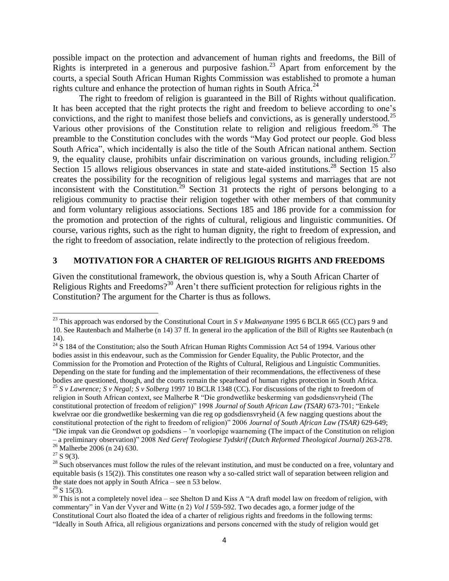possible impact on the protection and advancement of human rights and freedoms, the Bill of Rights is interpreted in a generous and purposive fashion.<sup>23</sup> Apart from enforcement by the courts, a special South African Human Rights Commission was established to promote a human rights culture and enhance the protection of human rights in South Africa.<sup>24</sup>

The right to freedom of religion is guaranteed in the Bill of Rights without qualification. It has been accepted that the right protects the right and freedom to believe according to one's convictions, and the right to manifest those beliefs and convictions, as is generally understood.<sup>25</sup> Various other provisions of the Constitution relate to religion and religious freedom. <sup>26</sup> The preamble to the Constitution concludes with the words "May God protect our people. God bless South Africa", which incidentally is also the title of the South African national anthem. Section 9, the equality clause, prohibits unfair discrimination on various grounds, including religion.<sup>27</sup> Section 15 allows religious observances in state and state-aided institutions.<sup>28</sup> Section 15 also creates the possibility for the recognition of religious legal systems and marriages that are not inconsistent with the Constitution.<sup>29</sup> Section 31 protects the right of persons belonging to a religious community to practise their religion together with other members of that community and form voluntary religious associations. Sections 185 and 186 provide for a commission for the promotion and protection of the rights of cultural, religious and linguistic communities. Of course, various rights, such as the right to human dignity, the right to freedom of expression, and the right to freedom of association, relate indirectly to the protection of religious freedom.

#### **3 MOTIVATION FOR A CHARTER OF RELIGIOUS RIGHTS AND FREEDOMS**

Given the constitutional framework, the obvious question is, why a South African Charter of Religious Rights and Freedoms?<sup>30</sup> Aren't there sufficient protection for religious rights in the Constitution? The argument for the Charter is thus as follows.

<sup>23</sup> This approach was endorsed by the Constitutional Court in *S v Makwanyane* 1995 6 BCLR 665 (CC) pars 9 and 10. See Rautenbach and Malherbe (n 14) 37 ff. In general iro the application of the Bill of Rights see Rautenbach (n 14).

 $24$  S 184 of the Constitution; also the South African Human Rights Commission Act 54 of 1994. Various other bodies assist in this endeavour, such as the Commission for Gender Equality, the Public Protector, and the Commission for the Promotion and Protection of the Rights of Cultural, Religious and Linguistic Communities. Depending on the state for funding and the implementation of their recommendations, the effectiveness of these bodies are questioned, though, and the courts remain the spearhead of human rights protection in South Africa. <sup>25</sup> *S v Lawrence; S v Negal; S v Solberg* 1997 10 BCLR 1348 (CC). For discussions of the right to freedom of religion in South African context, see Malherbe R "Die grondwetlike beskerming van godsdiensvryheid (The constitutional protection of freedom of religion)" 1998 *Journal of South African Law (TSAR)* 673-701; "Enkele kwelvrae oor die grondwetlike beskerming van die reg op godsdiensvryheid (A few nagging questions about the constitutional protection of the right to freedom of religion)" 2006 *Journal of South African Law (TSAR)* 629-649; "Die impak van die Grondwet op godsdiens – 'n voorlopige waarneming (The impact of the Constitution on religion – a preliminary observation)" 2008 *Ned Geref Teologiese Tydskrif (Dutch Reformed Theological Journal)* 263-278. <sup>26</sup> Malherbe 2006 (n 24) 630.

 $27$  S 9(3).

<sup>&</sup>lt;sup>28</sup> Such observances must follow the rules of the relevant institution, and must be conducted on a free, voluntary and equitable basis (s 15(2)). This constitutes one reason why a so-called strict wall of separation between religion and the state does not apply in South Africa – see n 53 below.

 $29$  S 15(3).

 $30$  This is not a completely novel idea – see Shelton D and Kiss A "A draft model law on freedom of religion, with commentary" in Van der Vyver and Witte (n 2) *Vol I* 559-592. Two decades ago, a former judge of the Constitutional Court also floated the idea of a charter of religious rights and freedoms in the following terms: "Ideally in South Africa, all religious organizations and persons concerned with the study of religion would get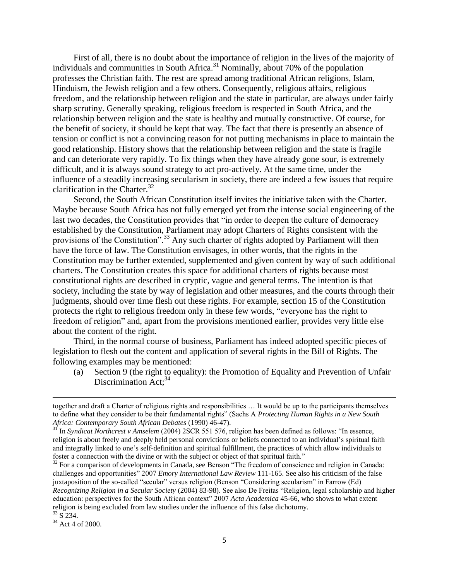First of all, there is no doubt about the importance of religion in the lives of the majority of individuals and communities in South Africa. $31$  Nominally, about 70% of the population professes the Christian faith. The rest are spread among traditional African religions, Islam, Hinduism, the Jewish religion and a few others. Consequently, religious affairs, religious freedom, and the relationship between religion and the state in particular, are always under fairly sharp scrutiny. Generally speaking, religious freedom is respected in South Africa, and the relationship between religion and the state is healthy and mutually constructive. Of course, for the benefit of society, it should be kept that way. The fact that there is presently an absence of tension or conflict is not a convincing reason for not putting mechanisms in place to maintain the good relationship. History shows that the relationship between religion and the state is fragile and can deteriorate very rapidly. To fix things when they have already gone sour, is extremely difficult, and it is always sound strategy to act pro-actively. At the same time, under the influence of a steadily increasing secularism in society, there are indeed a few issues that require clarification in the Charter.<sup>32</sup>

Second, the South African Constitution itself invites the initiative taken with the Charter. Maybe because South Africa has not fully emerged yet from the intense social engineering of the last two decades, the Constitution provides that "in order to deepen the culture of democracy established by the Constitution, Parliament may adopt Charters of Rights consistent with the provisions of the Constitution".<sup>33</sup> Any such charter of rights adopted by Parliament will then have the force of law. The Constitution envisages, in other words, that the rights in the Constitution may be further extended, supplemented and given content by way of such additional charters. The Constitution creates this space for additional charters of rights because most constitutional rights are described in cryptic, vague and general terms. The intention is that society, including the state by way of legislation and other measures, and the courts through their judgments, should over time flesh out these rights. For example, section 15 of the Constitution protects the right to religious freedom only in these few words, "everyone has the right to freedom of religion" and, apart from the provisions mentioned earlier, provides very little else about the content of the right.

Third, in the normal course of business, Parliament has indeed adopted specific pieces of legislation to flesh out the content and application of several rights in the Bill of Rights. The following examples may be mentioned:

(a) Section 9 (the right to equality): the Promotion of Equality and Prevention of Unfair Discrimination Act;<sup>34</sup>

l

together and draft a Charter of religious rights and responsibilities … It would be up to the participants themselves to define what they consider to be their fundamental rights" (Sachs A *Protecting Human Rights in a New South Africa: Contemporary South African Debates* (1990) 46-47).

<sup>31</sup> In *Syndicat Northcrest v Amselem* (2004) 2SCR 551 576, religion has been defined as follows: "In essence, religion is about freely and deeply held personal convictions or beliefs connected to an individual's spiritual faith and integrally linked to one's self-definition and spiritual fulfillment, the practices of which allow individuals to foster a connection with the divine or with the subject or object of that spiritual faith."

<sup>&</sup>lt;sup>32</sup> For a comparison of developments in Canada, see Benson "The freedom of conscience and religion in Canada: challenges and opportunities" 2007 *Emory International Law Review* 111-165. See also his criticism of the false juxtaposition of the so-called "secular" versus religion (Benson "Considering secularism" in Farrow (Ed) *Recognizing Religion in a Secular Society* (2004) 83-98). See also De Freitas "Religion, legal scholarship and higher education: perspectives for the South African context" 2007 *Acta Academica* 45-66, who shows to what extent religion is being excluded from law studies under the influence of this false dichotomy.  $33\,$  S 234.

<sup>34</sup> Act 4 of 2000.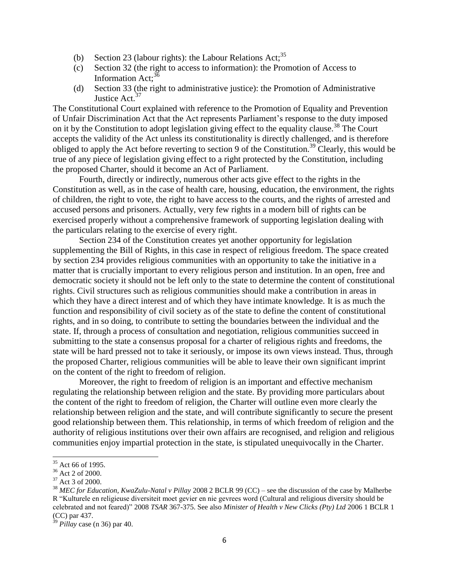- (b) Section 23 (labour rights): the Labour Relations Act;<sup>35</sup>
- (c) Section 32 (the right to access to information): the Promotion of Access to Information Act;<sup>36</sup>
- (d) Section 33 (the right to administrative justice): the Promotion of Administrative Justice Act.<sup>37</sup>

The Constitutional Court explained with reference to the Promotion of Equality and Prevention of Unfair Discrimination Act that the Act represents Parliament's response to the duty imposed on it by the Constitution to adopt legislation giving effect to the equality clause.<sup>38</sup> The Court accepts the validity of the Act unless its constitutionality is directly challenged, and is therefore obliged to apply the Act before reverting to section 9 of the Constitution.<sup>39</sup> Clearly, this would be true of any piece of legislation giving effect to a right protected by the Constitution, including the proposed Charter, should it become an Act of Parliament.

Fourth, directly or indirectly, numerous other acts give effect to the rights in the Constitution as well, as in the case of health care, housing, education, the environment, the rights of children, the right to vote, the right to have access to the courts, and the rights of arrested and accused persons and prisoners. Actually, very few rights in a modern bill of rights can be exercised properly without a comprehensive framework of supporting legislation dealing with the particulars relating to the exercise of every right.

Section 234 of the Constitution creates yet another opportunity for legislation supplementing the Bill of Rights, in this case in respect of religious freedom. The space created by section 234 provides religious communities with an opportunity to take the initiative in a matter that is crucially important to every religious person and institution. In an open, free and democratic society it should not be left only to the state to determine the content of constitutional rights. Civil structures such as religious communities should make a contribution in areas in which they have a direct interest and of which they have intimate knowledge. It is as much the function and responsibility of civil society as of the state to define the content of constitutional rights, and in so doing, to contribute to setting the boundaries between the individual and the state. If, through a process of consultation and negotiation, religious communities succeed in submitting to the state a consensus proposal for a charter of religious rights and freedoms, the state will be hard pressed not to take it seriously, or impose its own views instead. Thus, through the proposed Charter, religious communities will be able to leave their own significant imprint on the content of the right to freedom of religion.

Moreover, the right to freedom of religion is an important and effective mechanism regulating the relationship between religion and the state. By providing more particulars about the content of the right to freedom of religion, the Charter will outline even more clearly the relationship between religion and the state, and will contribute significantly to secure the present good relationship between them. This relationship, in terms of which freedom of religion and the authority of religious institutions over their own affairs are recognised, and religion and religious communities enjoy impartial protection in the state, is stipulated unequivocally in the Charter.

 $\overline{a}$ 

 $35$  Act 66 of 1995.

 $36$  Act 2 of 2000.

 $37$  Act 3 of 2000.

<sup>38</sup> *MEC for Education, KwaZulu-Natal v Pillay* 2008 2 BCLR 99 (CC) – see the discussion of the case by Malherbe R "Kulturele en religieuse diversiteit moet gevier en nie gevrees word (Cultural and religious diversity should be celebrated and not feared)" 2008 *TSAR* 367-375. See also *Minister of Health v New Clicks (Pty) Ltd* 2006 1 BCLR 1 (CC) par 437.

<sup>39</sup> *Pillay* case (n 36) par 40.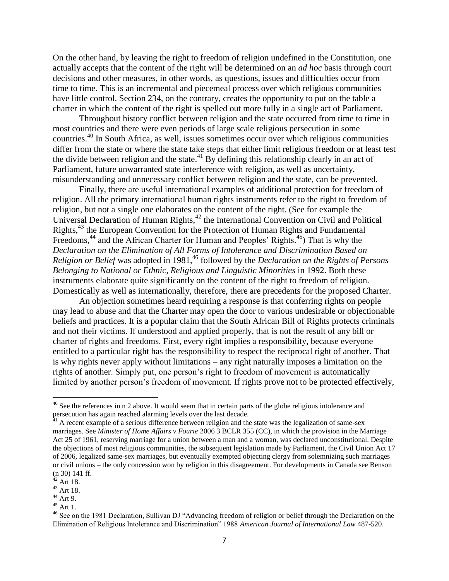On the other hand, by leaving the right to freedom of religion undefined in the Constitution, one actually accepts that the content of the right will be determined on an *ad hoc* basis through court decisions and other measures, in other words, as questions, issues and difficulties occur from time to time. This is an incremental and piecemeal process over which religious communities have little control. Section 234, on the contrary, creates the opportunity to put on the table a charter in which the content of the right is spelled out more fully in a single act of Parliament.

Throughout history conflict between religion and the state occurred from time to time in most countries and there were even periods of large scale religious persecution in some countries. <sup>40</sup> In South Africa, as well, issues sometimes occur over which religious communities differ from the state or where the state take steps that either limit religious freedom or at least test the divide between religion and the state.<sup>41</sup> By defining this relationship clearly in an act of Parliament, future unwarranted state interference with religion, as well as uncertainty, misunderstanding and unnecessary conflict between religion and the state, can be prevented.

Finally, there are useful international examples of additional protection for freedom of religion. All the primary international human rights instruments refer to the right to freedom of religion, but not a single one elaborates on the content of the right. (See for example the Universal Declaration of Human Rights,<sup>42</sup> the International Convention on Civil and Political Rights,<sup>43</sup> the European Convention for the Protection of Human Rights and Fundamental Freedoms,<sup>44</sup> and the African Charter for Human and Peoples' Rights.<sup>45</sup>) That is why the *Declaration on the Elimination of All Forms of Intolerance and Discrimination Based on Religion or Belief* was adopted in 1981, <sup>46</sup> followed by the *Declaration on the Rights of Persons Belonging to National or Ethnic, Religious and Linguistic Minorities* in 1992. Both these instruments elaborate quite significantly on the content of the right to freedom of religion. Domestically as well as internationally, therefore, there are precedents for the proposed Charter.

An objection sometimes heard requiring a response is that conferring rights on people may lead to abuse and that the Charter may open the door to various undesirable or objectionable beliefs and practices. It is a popular claim that the South African Bill of Rights protects criminals and not their victims. If understood and applied properly, that is not the result of any bill or charter of rights and freedoms. First, every right implies a responsibility, because everyone entitled to a particular right has the responsibility to respect the reciprocal right of another. That is why rights never apply without limitations – any right naturally imposes a limitation on the rights of another. Simply put, one person's right to freedom of movement is automatically limited by another person's freedom of movement. If rights prove not to be protected effectively,

l

 $40$  See the references in n 2 above. It would seem that in certain parts of the globe religious intolerance and persecution has again reached alarming levels over the last decade.

 $41$  A recent example of a serious difference between religion and the state was the legalization of same-sex marriages. See *Minister of Home Affairs v Fourie* 2006 3 BCLR 355 (CC), in which the provision in the Marriage Act 25 of 1961, reserving marriage for a union between a man and a woman, was declared unconstitutional. Despite the objections of most religious communities, the subsequent legislation made by Parliament, the Civil Union Act 17 of 2006, legalized same-sex marriages, but eventually exempted objecting clergy from solemnizing such marriages or civil unions – the only concession won by religion in this disagreement. For developments in Canada see Benson (n 30) 141 ff.

 $42$  Art 18.

 $43$  Art 18.

 $44$  Art 9.

 $45 \text{ Art } 1.$ 

<sup>&</sup>lt;sup>46</sup> See on the 1981 Declaration, Sullivan DJ "Advancing freedom of religion or belief through the Declaration on the Elimination of Religious Intolerance and Discrimination" 1988 *American Journal of International Law* 487-520.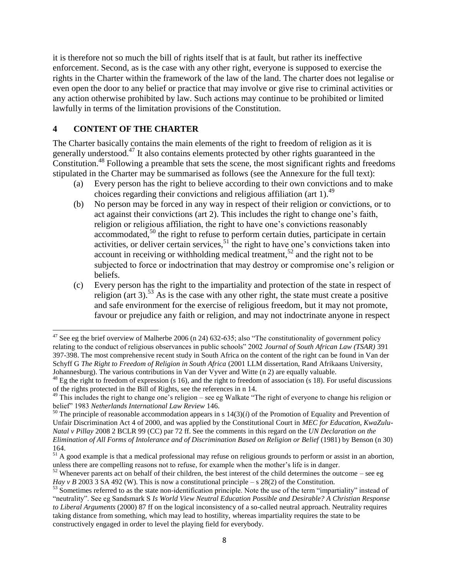it is therefore not so much the bill of rights itself that is at fault, but rather its ineffective enforcement. Second, as is the case with any other right, everyone is supposed to exercise the rights in the Charter within the framework of the law of the land. The charter does not legalise or even open the door to any belief or practice that may involve or give rise to criminal activities or any action otherwise prohibited by law. Such actions may continue to be prohibited or limited lawfully in terms of the limitation provisions of the Constitution.

### **4 CONTENT OF THE CHARTER**

The Charter basically contains the main elements of the right to freedom of religion as it is generally understood.<sup>47</sup> It also contains elements protected by other rights guaranteed in the  $\overline{\text{a}}$  Constitution.<sup>48</sup> Following a preamble that sets the scene, the most significant rights and freedoms stipulated in the Charter may be summarised as follows (see the Annexure for the full text):

- (a) Every person has the right to believe according to their own convictions and to make choices regarding their convictions and religious affiliation (art 1).<sup>49</sup>
- (b) No person may be forced in any way in respect of their religion or convictions, or to act against their convictions (art 2). This includes the right to change one's faith, religion or religious affiliation, the right to have one's convictions reasonably  $\alpha$  accommodated,<sup>50</sup> the right to refuse to perform certain duties, participate in certain activities, or deliver certain services,  $51$  the right to have one's convictions taken into account in receiving or withholding medical treatment,<sup>52</sup> and the right not to be subjected to force or indoctrination that may destroy or compromise one's religion or beliefs.
- (c) Every person has the right to the impartiality and protection of the state in respect of religion (art 3).<sup>53</sup> As is the case with any other right, the state must create a positive and safe environment for the exercise of religious freedom, but it may not promote, favour or prejudice any faith or religion, and may not indoctrinate anyone in respect

 $\overline{\phantom{a}}$  $47$  See eg the brief overview of Malherbe 2006 (n 24) 632-635; also "The constitutionality of government policy relating to the conduct of religious observances in public schools" 2002 *Journal of South African Law (TSAR)* 391 397-398. The most comprehensive recent study in South Africa on the content of the right can be found in Van der Schyff G *The Right to Freedom of Religion in South Africa* (2001 LLM dissertation, Rand Afrikaans University, Johannesburg). The various contributions in Van der Vyver and Witte (n 2) are equally valuable.

 $^{48}$  Eg the right to freedom of expression (s 16), and the right to freedom of association (s 18). For useful discussions of the rights protected in the Bill of Rights, see the references in n 14.

 $49$  This includes the right to change one's religion – see eg Walkate "The right of everyone to change his religion or belief" 1983 *Netherlands International Law Review* 146.

 $50$  The principle of reasonable accommodation appears in s  $14(3)(i)$  of the Promotion of Equality and Prevention of Unfair Discrimination Act 4 of 2000, and was applied by the Constitutional Court in *MEC for Education, KwaZulu-Natal v Pillay* 2008 2 BCLR 99 (CC) par 72 ff. See the comments in this regard on the *UN Declaration on the Elimination of All Forms of Intolerance and of Discrimination Based on Religion or Belief* (1981) by Benson (n 30) 164.

<sup>&</sup>lt;sup>51</sup> A good example is that a medical professional may refuse on religious grounds to perform or assist in an abortion, unless there are compelling reasons not to refuse, for example when the mother's life is in danger.

 $52$  Whenever parents act on behalf of their children, the best interest of the child determines the outcome – see eg *Hay v B* 2003 3 SA 492 (W). This is now a constitutional principle – s 28(2) of the Constitution.

<sup>&</sup>lt;sup>53</sup> Sometimes referred to as the state non-identification principle. Note the use of the term "impartiality" instead of "neutrality". See eg Sandsmark S *Is World View Neutral Education Possible and Desirable? A Christian Response to Liberal Arguments* (2000) 87 ff on the logical inconsistency of a so-called neutral approach. Neutrality requires taking distance from something, which may lead to hostility, whereas impartiality requires the state to be constructively engaged in order to level the playing field for everybody.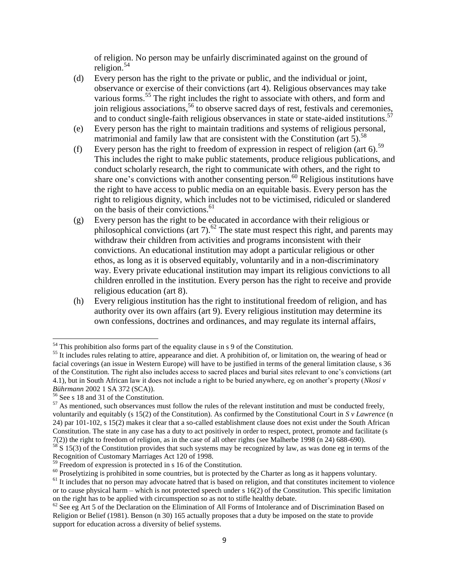of religion. No person may be unfairly discriminated against on the ground of religion. $54$ 

- (d) Every person has the right to the private or public, and the individual or joint, observance or exercise of their convictions (art 4). Religious observances may take various forms.<sup>55</sup> The right includes the right to associate with others, and form and join religious associations,<sup>56</sup> to observe sacred days of rest, festivals and ceremonies, and to conduct single-faith religious observances in state or state-aided institutions.<sup>57</sup>
- (e) Every person has the right to maintain traditions and systems of religious personal, matrimonial and family law that are consistent with the Constitution (art  $5$ ).<sup>58</sup>
- (f) Every person has the right to freedom of expression in respect of religion (art  $6$ ).<sup>59</sup> This includes the right to make public statements, produce religious publications, and conduct scholarly research, the right to communicate with others, and the right to share one's convictions with another consenting person.<sup>60</sup> Religious institutions have the right to have access to public media on an equitable basis. Every person has the right to religious dignity, which includes not to be victimised, ridiculed or slandered on the basis of their convictions.<sup>61</sup>
- (g) Every person has the right to be educated in accordance with their religious or philosophical convictions (art  $7$ ).<sup>62</sup> The state must respect this right, and parents may withdraw their children from activities and programs inconsistent with their convictions. An educational institution may adopt a particular religious or other ethos, as long as it is observed equitably, voluntarily and in a non-discriminatory way. Every private educational institution may impart its religious convictions to all children enrolled in the institution. Every person has the right to receive and provide religious education (art 8).
- (h) Every religious institution has the right to institutional freedom of religion, and has authority over its own affairs (art 9). Every religious institution may determine its own confessions, doctrines and ordinances, and may regulate its internal affairs,

 $54$  This prohibition also forms part of the equality clause in s 9 of the Constitution.

<sup>&</sup>lt;sup>55</sup> It includes rules relating to attire, appearance and diet. A prohibition of, or limitation on, the wearing of head or facial coverings (an issue in Western Europe) will have to be justified in terms of the general limitation clause, s 36 of the Constitution. The right also includes access to sacred places and burial sites relevant to one's convictions (art 4.1), but in South African law it does not include a right to be buried anywhere, eg on another's property (*Nkosi v Bührmann* 2002 1 SA 372 (SCA)).

<sup>56</sup> See s 18 and 31 of the Constitution.

 $57$  As mentioned, such observances must follow the rules of the relevant institution and must be conducted freely, voluntarily and equitably (s 15(2) of the Constitution). As confirmed by the Constitutional Court in *S v Lawrence* (n 24) par 101-102, s 15(2) makes it clear that a so-called establishment clause does not exist under the South African Constitution. The state in any case has a duty to act positively in order to respect, protect, promote and facilitate (s 7(2)) the right to freedom of religion, as in the case of all other rights (see Malherbe 1998 (n 24) 688-690).

 $58$  S 15(3) of the Constitution provides that such systems may be recognized by law, as was done eg in terms of the Recognition of Customary Marriages Act 120 of 1998.

 $59$  Freedom of expression is protected in s 16 of the Constitution.

<sup>&</sup>lt;sup>60</sup> Proselytizing is prohibited in some countries, but is protected by the Charter as long as it happens voluntary.

<sup>&</sup>lt;sup>61</sup> It includes that no person may advocate hatred that is based on religion, and that constitutes incitement to violence or to cause physical harm – which is not protected speech under s 16(2) of the Constitution. This specific limitation on the right has to be applied with circumspection so as not to stifle healthy debate.

 $62$  See eg Art 5 of the Declaration on the Elimination of All Forms of Intolerance and of Discrimination Based on Religion or Belief (1981). Benson (n 30) 165 actually proposes that a duty be imposed on the state to provide support for education across a diversity of belief systems.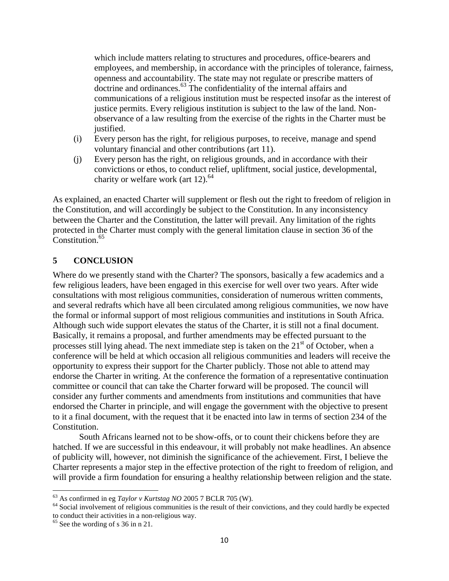which include matters relating to structures and procedures, office-bearers and employees, and membership, in accordance with the principles of tolerance, fairness, openness and accountability. The state may not regulate or prescribe matters of doctrine and ordinances.<sup>63</sup> The confidentiality of the internal affairs and communications of a religious institution must be respected insofar as the interest of justice permits. Every religious institution is subject to the law of the land. Nonobservance of a law resulting from the exercise of the rights in the Charter must be justified.

- (i) Every person has the right, for religious purposes, to receive, manage and spend voluntary financial and other contributions (art 11).
- (j) Every person has the right, on religious grounds, and in accordance with their convictions or ethos, to conduct relief, upliftment, social justice, developmental, charity or welfare work (art 12).<sup>64</sup>

As explained, an enacted Charter will supplement or flesh out the right to freedom of religion in the Constitution, and will accordingly be subject to the Constitution. In any inconsistency between the Charter and the Constitution, the latter will prevail. Any limitation of the rights protected in the Charter must comply with the general limitation clause in section 36 of the Constitution.<sup>65</sup>

### **5 CONCLUSION**

Where do we presently stand with the Charter? The sponsors, basically a few academics and a few religious leaders, have been engaged in this exercise for well over two years. After wide consultations with most religious communities, consideration of numerous written comments, and several redrafts which have all been circulated among religious communities, we now have the formal or informal support of most religious communities and institutions in South Africa. Although such wide support elevates the status of the Charter, it is still not a final document. Basically, it remains a proposal, and further amendments may be effected pursuant to the processes still lying ahead. The next immediate step is taken on the  $21<sup>st</sup>$  of October, when a conference will be held at which occasion all religious communities and leaders will receive the opportunity to express their support for the Charter publicly. Those not able to attend may endorse the Charter in writing. At the conference the formation of a representative continuation committee or council that can take the Charter forward will be proposed. The council will consider any further comments and amendments from institutions and communities that have endorsed the Charter in principle, and will engage the government with the objective to present to it a final document, with the request that it be enacted into law in terms of section 234 of the Constitution.

South Africans learned not to be show-offs, or to count their chickens before they are hatched. If we are successful in this endeavour, it will probably not make headlines. An absence of publicity will, however, not diminish the significance of the achievement. First, I believe the Charter represents a major step in the effective protection of the right to freedom of religion, and will provide a firm foundation for ensuring a healthy relationship between religion and the state.

<sup>63</sup> As confirmed in eg *Taylor v Kurtstag NO* 2005 7 BCLR 705 (W).

<sup>&</sup>lt;sup>64</sup> Social involvement of religious communities is the result of their convictions, and they could hardly be expected to conduct their activities in a non-religious way.

 $65$  See the wording of s 36 in n 21.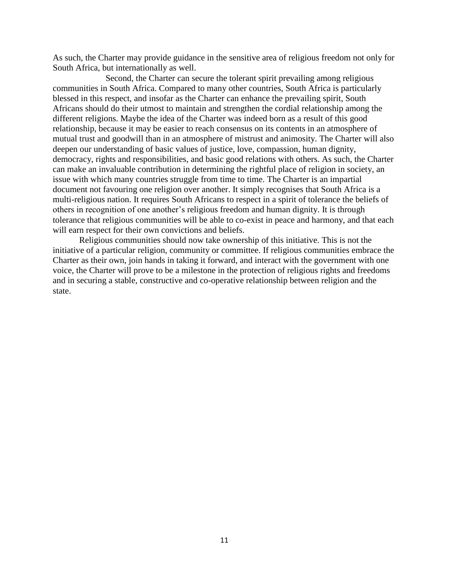As such, the Charter may provide guidance in the sensitive area of religious freedom not only for South Africa, but internationally as well.

Second, the Charter can secure the tolerant spirit prevailing among religious communities in South Africa. Compared to many other countries, South Africa is particularly blessed in this respect, and insofar as the Charter can enhance the prevailing spirit, South Africans should do their utmost to maintain and strengthen the cordial relationship among the different religions. Maybe the idea of the Charter was indeed born as a result of this good relationship, because it may be easier to reach consensus on its contents in an atmosphere of mutual trust and goodwill than in an atmosphere of mistrust and animosity. The Charter will also deepen our understanding of basic values of justice, love, compassion, human dignity, democracy, rights and responsibilities, and basic good relations with others. As such, the Charter can make an invaluable contribution in determining the rightful place of religion in society, an issue with which many countries struggle from time to time. The Charter is an impartial document not favouring one religion over another. It simply recognises that South Africa is a multi-religious nation. It requires South Africans to respect in a spirit of tolerance the beliefs of others in recognition of one another's religious freedom and human dignity. It is through tolerance that religious communities will be able to co-exist in peace and harmony, and that each will earn respect for their own convictions and beliefs.

Religious communities should now take ownership of this initiative. This is not the initiative of a particular religion, community or committee. If religious communities embrace the Charter as their own, join hands in taking it forward, and interact with the government with one voice, the Charter will prove to be a milestone in the protection of religious rights and freedoms and in securing a stable, constructive and co-operative relationship between religion and the state.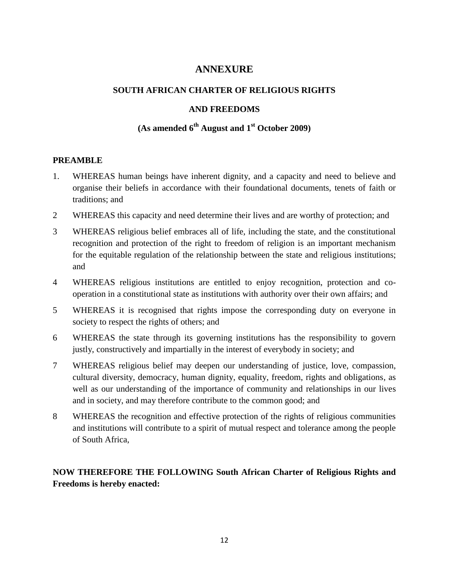# **ANNEXURE**

## **SOUTH AFRICAN CHARTER OF RELIGIOUS RIGHTS**

### **AND FREEDOMS**

# **(As amended 6th August and 1st October 2009)**

#### **PREAMBLE**

- 1. WHEREAS human beings have inherent dignity, and a capacity and need to believe and organise their beliefs in accordance with their foundational documents, tenets of faith or traditions; and
- 2 WHEREAS this capacity and need determine their lives and are worthy of protection; and
- 3 WHEREAS religious belief embraces all of life, including the state, and the constitutional recognition and protection of the right to freedom of religion is an important mechanism for the equitable regulation of the relationship between the state and religious institutions; and
- 4 WHEREAS religious institutions are entitled to enjoy recognition, protection and cooperation in a constitutional state as institutions with authority over their own affairs; and
- 5 WHEREAS it is recognised that rights impose the corresponding duty on everyone in society to respect the rights of others; and
- 6 WHEREAS the state through its governing institutions has the responsibility to govern justly, constructively and impartially in the interest of everybody in society; and
- 7 WHEREAS religious belief may deepen our understanding of justice, love, compassion, cultural diversity, democracy, human dignity, equality, freedom, rights and obligations, as well as our understanding of the importance of community and relationships in our lives and in society, and may therefore contribute to the common good; and
- 8 WHEREAS the recognition and effective protection of the rights of religious communities and institutions will contribute to a spirit of mutual respect and tolerance among the people of South Africa,

## **NOW THEREFORE THE FOLLOWING South African Charter of Religious Rights and Freedoms is hereby enacted:**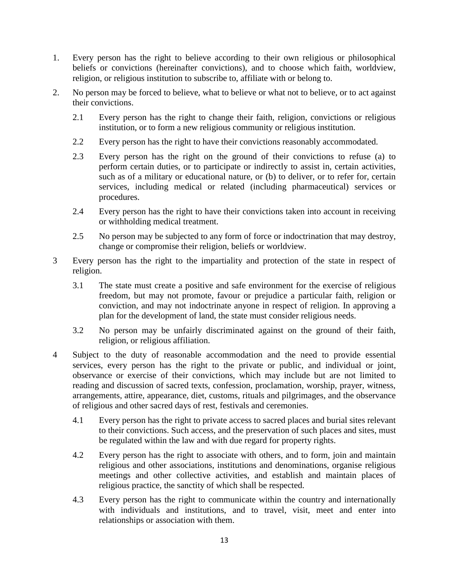- 1. Every person has the right to believe according to their own religious or philosophical beliefs or convictions (hereinafter convictions), and to choose which faith, worldview, religion, or religious institution to subscribe to, affiliate with or belong to.
- 2. No person may be forced to believe, what to believe or what not to believe, or to act against their convictions.
	- 2.1 Every person has the right to change their faith, religion, convictions or religious institution, or to form a new religious community or religious institution.
	- 2.2 Every person has the right to have their convictions reasonably accommodated.
	- 2.3 Every person has the right on the ground of their convictions to refuse (a) to perform certain duties, or to participate or indirectly to assist in, certain activities, such as of a military or educational nature, or (b) to deliver, or to refer for, certain services, including medical or related (including pharmaceutical) services or procedures.
	- 2.4 Every person has the right to have their convictions taken into account in receiving or withholding medical treatment.
	- 2.5 No person may be subjected to any form of force or indoctrination that may destroy, change or compromise their religion, beliefs or worldview.
- 3 Every person has the right to the impartiality and protection of the state in respect of religion.
	- 3.1 The state must create a positive and safe environment for the exercise of religious freedom, but may not promote, favour or prejudice a particular faith, religion or conviction, and may not indoctrinate anyone in respect of religion. In approving a plan for the development of land, the state must consider religious needs.
	- 3.2 No person may be unfairly discriminated against on the ground of their faith, religion, or religious affiliation.
- 4 Subject to the duty of reasonable accommodation and the need to provide essential services, every person has the right to the private or public, and individual or joint, observance or exercise of their convictions, which may include but are not limited to reading and discussion of sacred texts, confession, proclamation, worship, prayer, witness, arrangements, attire, appearance, diet, customs, rituals and pilgrimages, and the observance of religious and other sacred days of rest, festivals and ceremonies.
	- 4.1 Every person has the right to private access to sacred places and burial sites relevant to their convictions. Such access, and the preservation of such places and sites, must be regulated within the law and with due regard for property rights.
	- 4.2 Every person has the right to associate with others, and to form, join and maintain religious and other associations, institutions and denominations, organise religious meetings and other collective activities, and establish and maintain places of religious practice, the sanctity of which shall be respected.
	- 4.3 Every person has the right to communicate within the country and internationally with individuals and institutions, and to travel, visit, meet and enter into relationships or association with them.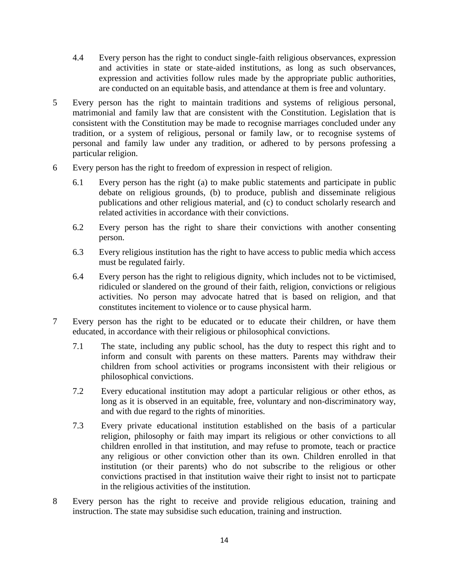- 4.4 Every person has the right to conduct single-faith religious observances, expression and activities in state or state-aided institutions, as long as such observances, expression and activities follow rules made by the appropriate public authorities, are conducted on an equitable basis, and attendance at them is free and voluntary.
- 5 Every person has the right to maintain traditions and systems of religious personal, matrimonial and family law that are consistent with the Constitution. Legislation that is consistent with the Constitution may be made to recognise marriages concluded under any tradition, or a system of religious, personal or family law, or to recognise systems of personal and family law under any tradition, or adhered to by persons professing a particular religion.
- 6 Every person has the right to freedom of expression in respect of religion.
	- 6.1 Every person has the right (a) to make public statements and participate in public debate on religious grounds, (b) to produce, publish and disseminate religious publications and other religious material, and (c) to conduct scholarly research and related activities in accordance with their convictions.
	- 6.2 Every person has the right to share their convictions with another consenting person.
	- 6.3 Every religious institution has the right to have access to public media which access must be regulated fairly.
	- 6.4 Every person has the right to religious dignity, which includes not to be victimised, ridiculed or slandered on the ground of their faith, religion, convictions or religious activities. No person may advocate hatred that is based on religion, and that constitutes incitement to violence or to cause physical harm.
- 7 Every person has the right to be educated or to educate their children, or have them educated, in accordance with their religious or philosophical convictions.
	- 7.1 The state, including any public school, has the duty to respect this right and to inform and consult with parents on these matters. Parents may withdraw their children from school activities or programs inconsistent with their religious or philosophical convictions.
	- 7.2 Every educational institution may adopt a particular religious or other ethos, as long as it is observed in an equitable, free, voluntary and non-discriminatory way, and with due regard to the rights of minorities.
	- 7.3 Every private educational institution established on the basis of a particular religion, philosophy or faith may impart its religious or other convictions to all children enrolled in that institution, and may refuse to promote, teach or practice any religious or other conviction other than its own. Children enrolled in that institution (or their parents) who do not subscribe to the religious or other convictions practised in that institution waive their right to insist not to particpate in the religious activities of the institution.
- 8 Every person has the right to receive and provide religious education, training and instruction. The state may subsidise such education, training and instruction.